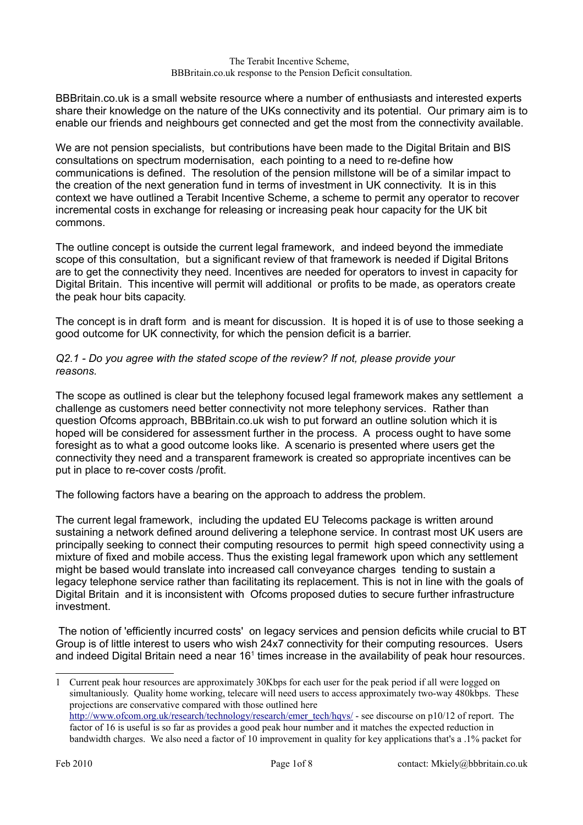BBBritain.co.uk is a small website resource where a number of enthusiasts and interested experts share their knowledge on the nature of the UKs connectivity and its potential. Our primary aim is to enable our friends and neighbours get connected and get the most from the connectivity available.

We are not pension specialists, but contributions have been made to the Digital Britain and BIS consultations on spectrum modernisation, each pointing to a need to re-define how communications is defined. The resolution of the pension millstone will be of a similar impact to the creation of the next generation fund in terms of investment in UK connectivity. It is in this context we have outlined a Terabit Incentive Scheme, a scheme to permit any operator to recover incremental costs in exchange for releasing or increasing peak hour capacity for the UK bit commons.

The outline concept is outside the current legal framework, and indeed beyond the immediate scope of this consultation, but a significant review of that framework is needed if Digital Britons are to get the connectivity they need. Incentives are needed for operators to invest in capacity for Digital Britain. This incentive will permit will additional or profits to be made, as operators create the peak hour bits capacity.

The concept is in draft form and is meant for discussion. It is hoped it is of use to those seeking a good outcome for UK connectivity, for which the pension deficit is a barrier.

# *Q2.1 - Do you agree with the stated scope of the review? If not, please provide your reasons.*

The scope as outlined is clear but the telephony focused legal framework makes any settlement a challenge as customers need better connectivity not more telephony services. Rather than question Ofcoms approach, BBBritain.co.uk wish to put forward an outline solution which it is hoped will be considered for assessment further in the process. A process ought to have some foresight as to what a good outcome looks like. A scenario is presented where users get the connectivity they need and a transparent framework is created so appropriate incentives can be put in place to re-cover costs /profit.

The following factors have a bearing on the approach to address the problem.

The current legal framework, including the updated EU Telecoms package is written around sustaining a network defined around delivering a telephone service. In contrast most UK users are principally seeking to connect their computing resources to permit high speed connectivity using a mixture of fixed and mobile access. Thus the existing legal framework upon which any settlement might be based would translate into increased call conveyance charges tending to sustain a legacy telephone service rather than facilitating its replacement. This is not in line with the goals of Digital Britain and it is inconsistent with Ofcoms proposed duties to secure further infrastructure investment.

The notion of 'efficiently incurred costs' on legacy services and pension deficits while crucial to BT Group is of little interest to users who wish 24x7 connectivity for their computing resources. Users and indeed Digital Britain need a near  $16<sup>1</sup>$  $16<sup>1</sup>$  times increase in the availability of peak hour resources.

<span id="page-0-0"></span><sup>1</sup> Current peak hour resources are approximately 30Kbps for each user for the peak period if all were logged on simultaniously. Quality home working, telecare will need users to access approximately two-way 480kbps. These projections are conservative compared with those outlined here [http://www.ofcom.org.uk/research/technology/research/emer\\_tech/hqvs/](http://www.ofcom.org.uk/research/technology/research/emer_tech/hqvs/) - see discourse on p10/12 of report. The factor of 16 is useful is so far as provides a good peak hour number and it matches the expected reduction in bandwidth charges. We also need a factor of 10 improvement in quality for key applications that's a .1% packet for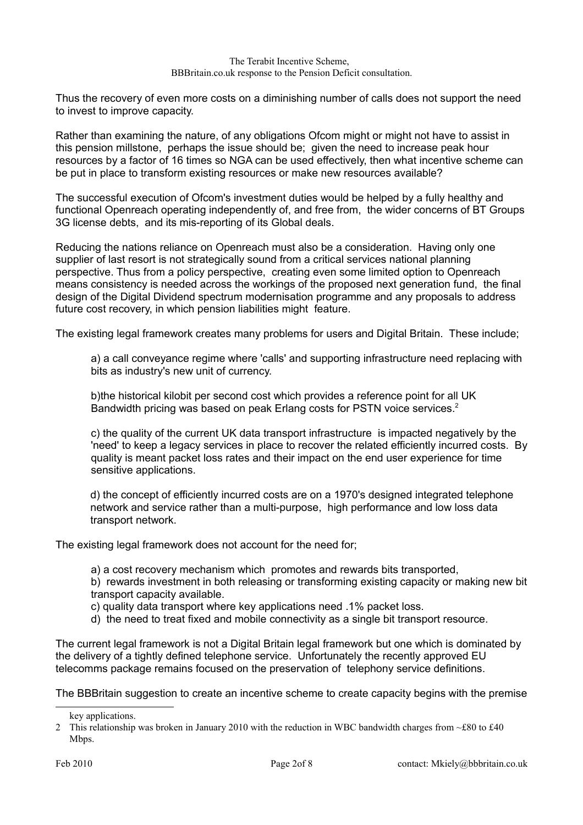Thus the recovery of even more costs on a diminishing number of calls does not support the need to invest to improve capacity.

Rather than examining the nature, of any obligations Ofcom might or might not have to assist in this pension millstone, perhaps the issue should be; given the need to increase peak hour resources by a factor of 16 times so NGA can be used effectively, then what incentive scheme can be put in place to transform existing resources or make new resources available?

The successful execution of Ofcom's investment duties would be helped by a fully healthy and functional Openreach operating independently of, and free from, the wider concerns of BT Groups 3G license debts, and its mis-reporting of its Global deals.

Reducing the nations reliance on Openreach must also be a consideration. Having only one supplier of last resort is not strategically sound from a critical services national planning perspective. Thus from a policy perspective, creating even some limited option to Openreach means consistency is needed across the workings of the proposed next generation fund, the final design of the Digital Dividend spectrum modernisation programme and any proposals to address future cost recovery, in which pension liabilities might feature.

The existing legal framework creates many problems for users and Digital Britain. These include;

a) a call conveyance regime where 'calls' and supporting infrastructure need replacing with bits as industry's new unit of currency.

b)the historical kilobit per second cost which provides a reference point for all UK Bandwidth pricing was based on peak Erlang costs for PSTN voice services.<sup>[2](#page-1-0)</sup>

c) the quality of the current UK data transport infrastructure is impacted negatively by the 'need' to keep a legacy services in place to recover the related efficiently incurred costs. By quality is meant packet loss rates and their impact on the end user experience for time sensitive applications.

d) the concept of efficiently incurred costs are on a 1970's designed integrated telephone network and service rather than a multi-purpose, high performance and low loss data transport network.

The existing legal framework does not account for the need for;

a) a cost recovery mechanism which promotes and rewards bits transported,

b) rewards investment in both releasing or transforming existing capacity or making new bit transport capacity available.

c) quality data transport where key applications need .1% packet loss.

d) the need to treat fixed and mobile connectivity as a single bit transport resource.

The current legal framework is not a Digital Britain legal framework but one which is dominated by the delivery of a tightly defined telephone service. Unfortunately the recently approved EU telecomms package remains focused on the preservation of telephony service definitions.

The BBBritain suggestion to create an incentive scheme to create capacity begins with the premise

<span id="page-1-0"></span>key applications.

<sup>2</sup> This relationship was broken in January 2010 with the reduction in WBC bandwidth charges from ~£80 to £40 Mbps.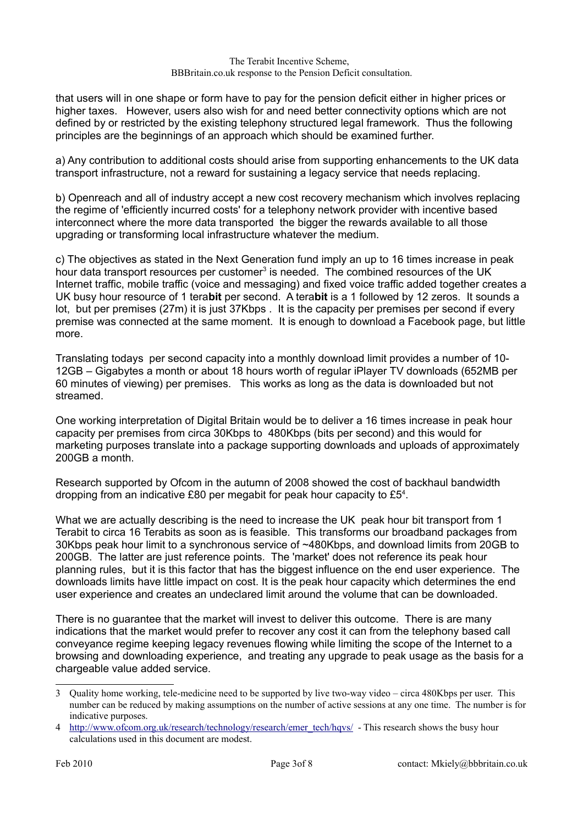that users will in one shape or form have to pay for the pension deficit either in higher prices or higher taxes. However, users also wish for and need better connectivity options which are not defined by or restricted by the existing telephony structured legal framework. Thus the following principles are the beginnings of an approach which should be examined further.

a) Any contribution to additional costs should arise from supporting enhancements to the UK data transport infrastructure, not a reward for sustaining a legacy service that needs replacing.

b) Openreach and all of industry accept a new cost recovery mechanism which involves replacing the regime of 'efficiently incurred costs' for a telephony network provider with incentive based interconnect where the more data transported the bigger the rewards available to all those upgrading or transforming local infrastructure whatever the medium.

c) The objectives as stated in the Next Generation fund imply an up to 16 times increase in peak hour data transport resources per customer<sup>[3](#page-2-0)</sup> is needed. The combined resources of the UK Internet traffic, mobile traffic (voice and messaging) and fixed voice traffic added together creates a UK busy hour resource of 1 tera**bit** per second. A tera**bit** is a 1 followed by 12 zeros. It sounds a lot, but per premises (27m) it is just 37Kbps . It is the capacity per premises per second if every premise was connected at the same moment. It is enough to download a Facebook page, but little more.

Translating todays per second capacity into a monthly download limit provides a number of 10- 12GB – Gigabytes a month or about 18 hours worth of regular iPlayer TV downloads (652MB per 60 minutes of viewing) per premises. This works as long as the data is downloaded but not streamed.

One working interpretation of Digital Britain would be to deliver a 16 times increase in peak hour capacity per premises from circa 30Kbps to 480Kbps (bits per second) and this would for marketing purposes translate into a package supporting downloads and uploads of approximately 200GB a month.

Research supported by Ofcom in the autumn of 2008 showed the cost of backhaul bandwidth dropping from an indicative £80 per megabit for peak hour capacity to  $E5<sup>4</sup>$  $E5<sup>4</sup>$  $E5<sup>4</sup>$ .

What we are actually describing is the need to increase the UK peak hour bit transport from 1 Terabit to circa 16 Terabits as soon as is feasible. This transforms our broadband packages from 30Kbps peak hour limit to a synchronous service of ~480Kbps, and download limits from 20GB to 200GB. The latter are just reference points. The 'market' does not reference its peak hour planning rules, but it is this factor that has the biggest influence on the end user experience. The downloads limits have little impact on cost. It is the peak hour capacity which determines the end user experience and creates an undeclared limit around the volume that can be downloaded.

There is no guarantee that the market will invest to deliver this outcome. There is are many indications that the market would prefer to recover any cost it can from the telephony based call conveyance regime keeping legacy revenues flowing while limiting the scope of the Internet to a browsing and downloading experience, and treating any upgrade to peak usage as the basis for a chargeable value added service.

<span id="page-2-0"></span><sup>3</sup> Quality home working, tele-medicine need to be supported by live two-way video – circa 480Kbps per user. This number can be reduced by making assumptions on the number of active sessions at any one time. The number is for indicative purposes.

<span id="page-2-1"></span><sup>4</sup> [http://www.ofcom.org.uk/research/technology/research/emer\\_tech/hqvs/](http://www.ofcom.org.uk/research/technology/research/emer_tech/hqvs/) - This research shows the busy hour calculations used in this document are modest.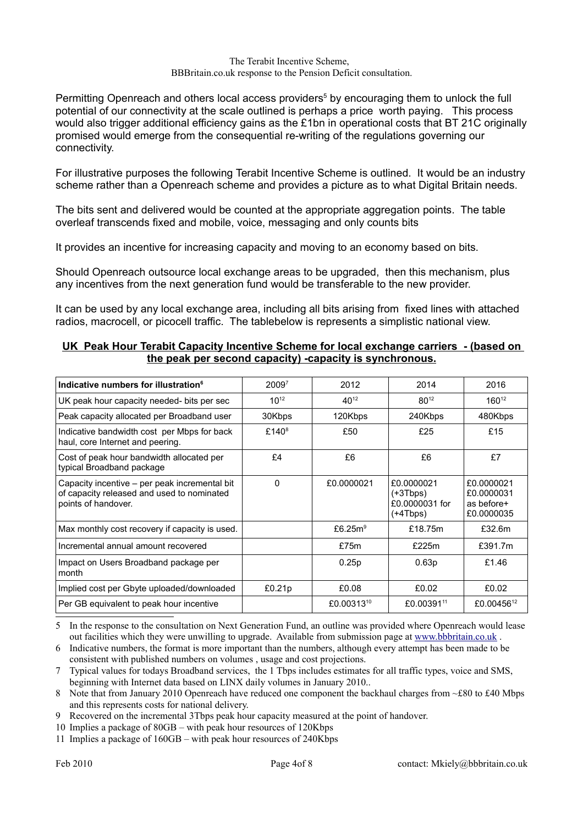Permitting Openreach and others local access providers<sup>[5](#page-3-0)</sup> by encouraging them to unlock the full potential of our connectivity at the scale outlined is perhaps a price worth paying. This process would also trigger additional efficiency gains as the £1bn in operational costs that BT 21C originally promised would emerge from the consequential re-writing of the regulations governing our connectivity.

For illustrative purposes the following Terabit Incentive Scheme is outlined. It would be an industry scheme rather than a Openreach scheme and provides a picture as to what Digital Britain needs.

The bits sent and delivered would be counted at the appropriate aggregation points. The table overleaf transcends fixed and mobile, voice, messaging and only counts bits

It provides an incentive for increasing capacity and moving to an economy based on bits.

Should Openreach outsource local exchange areas to be upgraded, then this mechanism, plus any incentives from the next generation fund would be transferable to the new provider.

It can be used by any local exchange area, including all bits arising from fixed lines with attached radios, macrocell, or picocell traffic. The tablebelow is represents a simplistic national view.

## **UK Peak Hour Terabit Capacity Incentive Scheme for local exchange carriers - (based on the peak per second capacity) -capacity is synchronous.**

| Indicative numbers for illustration <sup>6</sup>                                                                   | 2009 <sup>7</sup> | 2012       | 2014                                                   | 2016                                                 |
|--------------------------------------------------------------------------------------------------------------------|-------------------|------------|--------------------------------------------------------|------------------------------------------------------|
| UK peak hour capacity needed- bits per sec                                                                         | $10^{12}$         | $40^{12}$  | $80^{12}$                                              | $160^{12}$                                           |
| Peak capacity allocated per Broadband user                                                                         | 30Kbps            | 120Kbps    | 240Kbps                                                | 480Kbps                                              |
| Indicative bandwidth cost per Mbps for back<br>haul, core Internet and peering.                                    | £140 $8$          | £50        | £25                                                    | £15                                                  |
| Cost of peak hour bandwidth allocated per<br>typical Broadband package                                             | £4                | £6         | £6                                                     | £7                                                   |
| Capacity incentive – per peak incremental bit<br>of capacity released and used to nominated<br>points of handover. | $\Omega$          | £0.0000021 | £0.0000021<br>$(+3Tbps)$<br>£0.0000031 for<br>(+4Tbps) | £0.0000021<br>£0.0000031<br>as before+<br>£0.0000035 |
| Max monthly cost recovery if capacity is used.                                                                     |                   | £6.25 $m9$ | £18.75m                                                | £32.6m                                               |
| Incremental annual amount recovered                                                                                |                   | £75m       | £225m                                                  | £391.7m                                              |
| Impact on Users Broadband package per<br>month                                                                     |                   | 0.25p      | 0.63p                                                  | £1.46                                                |
| Implied cost per Gbyte uploaded/downloaded                                                                         | £0.21p            | £0.08      | £0.02                                                  | £0.02                                                |
| Per GB equivalent to peak hour incentive                                                                           |                   | £0.0031310 | £0.00391 <sup>11</sup>                                 | £0.00456 <sup>12</sup>                               |

<span id="page-3-0"></span>5 In the response to the consultation on Next Generation Fund, an outline was provided where Openreach would lease out facilities which they were unwilling to upgrade. Available from submission page at [www.bbbritain.co.uk](http://www.bbbritain.co.uk/) .

<span id="page-3-1"></span>6 Indicative numbers, the format is more important than the numbers, although every attempt has been made to be consistent with published numbers on volumes , usage and cost projections.

<span id="page-3-2"></span>7 Typical values for todays Broadband services, the 1 Tbps includes estimates for all traffic types, voice and SMS, beginning with Internet data based on LINX daily volumes in January 2010..

<span id="page-3-3"></span>8 Note that from January 2010 Openreach have reduced one component the backhaul charges from ~£80 to £40 Mbps and this represents costs for national delivery.

<span id="page-3-4"></span>9 Recovered on the incremental 3Tbps peak hour capacity measured at the point of handover.

<span id="page-3-5"></span>10 Implies a package of 80GB – with peak hour resources of 120Kbps

<span id="page-3-6"></span>11 Implies a package of 160GB – with peak hour resources of 240Kbps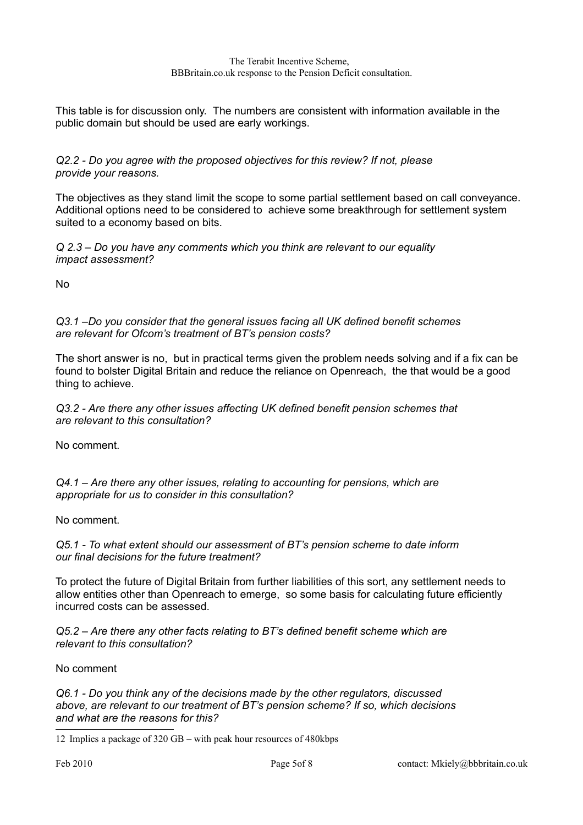This table is for discussion only. The numbers are consistent with information available in the public domain but should be used are early workings.

*Q2.2 - Do you agree with the proposed objectives for this review? If not, please provide your reasons.*

The objectives as they stand limit the scope to some partial settlement based on call conveyance. Additional options need to be considered to achieve some breakthrough for settlement system suited to a economy based on bits.

*Q 2.3 – Do you have any comments which you think are relevant to our equality impact assessment?*

No

*Q3.1 –Do you consider that the general issues facing all UK defined benefit schemes are relevant for Ofcom's treatment of BT's pension costs?*

The short answer is no, but in practical terms given the problem needs solving and if a fix can be found to bolster Digital Britain and reduce the reliance on Openreach, the that would be a good thing to achieve.

*Q3.2 - Are there any other issues affecting UK defined benefit pension schemes that are relevant to this consultation?*

No comment.

*Q4.1 – Are there any other issues, relating to accounting for pensions, which are appropriate for us to consider in this consultation?*

No comment.

*Q5.1 - To what extent should our assessment of BT's pension scheme to date inform our final decisions for the future treatment?*

To protect the future of Digital Britain from further liabilities of this sort, any settlement needs to allow entities other than Openreach to emerge, so some basis for calculating future efficiently incurred costs can be assessed.

*Q5.2 – Are there any other facts relating to BT's defined benefit scheme which are relevant to this consultation?*

No comment

*Q6.1 - Do you think any of the decisions made by the other regulators, discussed above, are relevant to our treatment of BT's pension scheme? If so, which decisions and what are the reasons for this?*

<span id="page-4-0"></span>12 Implies a package of 320 GB – with peak hour resources of 480kbps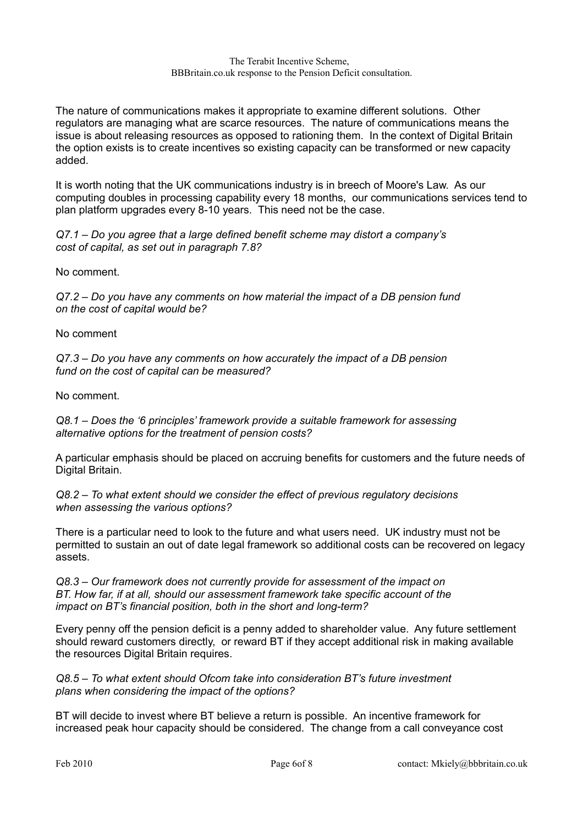The nature of communications makes it appropriate to examine different solutions. Other regulators are managing what are scarce resources. The nature of communications means the issue is about releasing resources as opposed to rationing them. In the context of Digital Britain the option exists is to create incentives so existing capacity can be transformed or new capacity added.

It is worth noting that the UK communications industry is in breech of Moore's Law. As our computing doubles in processing capability every 18 months, our communications services tend to plan platform upgrades every 8-10 years. This need not be the case.

*Q7.1 – Do you agree that a large defined benefit scheme may distort a company's cost of capital, as set out in paragraph 7.8?*

No comment.

*Q7.2 – Do you have any comments on how material the impact of a DB pension fund on the cost of capital would be?*

No comment

*Q7.3 – Do you have any comments on how accurately the impact of a DB pension fund on the cost of capital can be measured?*

No comment.

*Q8.1 – Does the '6 principles' framework provide a suitable framework for assessing alternative options for the treatment of pension costs?*

A particular emphasis should be placed on accruing benefits for customers and the future needs of Digital Britain.

*Q8.2 – To what extent should we consider the effect of previous regulatory decisions when assessing the various options?*

There is a particular need to look to the future and what users need. UK industry must not be permitted to sustain an out of date legal framework so additional costs can be recovered on legacy assets.

*Q8.3 – Our framework does not currently provide for assessment of the impact on BT. How far, if at all, should our assessment framework take specific account of the impact on BT's financial position, both in the short and long-term?*

Every penny off the pension deficit is a penny added to shareholder value. Any future settlement should reward customers directly, or reward BT if they accept additional risk in making available the resources Digital Britain requires.

*Q8.5 – To what extent should Ofcom take into consideration BT's future investment plans when considering the impact of the options?*

BT will decide to invest where BT believe a return is possible. An incentive framework for increased peak hour capacity should be considered. The change from a call conveyance cost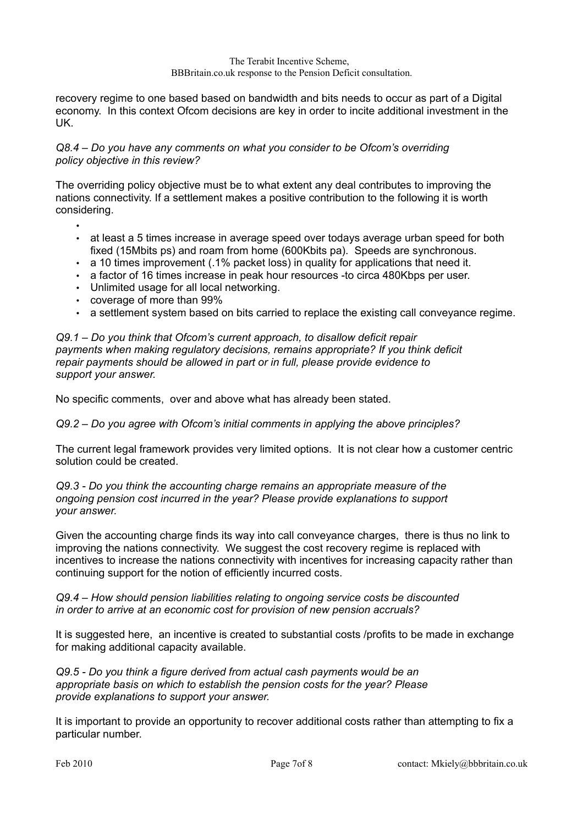recovery regime to one based based on bandwidth and bits needs to occur as part of a Digital economy. In this context Ofcom decisions are key in order to incite additional investment in the UK.

# *Q8.4 – Do you have any comments on what you consider to be Ofcom's overriding policy objective in this review?*

The overriding policy objective must be to what extent any deal contributes to improving the nations connectivity. If a settlement makes a positive contribution to the following it is worth considering.

•

- at least a 5 times increase in average speed over todays average urban speed for both fixed (15Mbits ps) and roam from home (600Kbits pa). Speeds are synchronous.
- a 10 times improvement (.1% packet loss) in quality for applications that need it.
- a factor of 16 times increase in peak hour resources -to circa 480Kbps per user.
- Unlimited usage for all local networking.
- coverage of more than 99%
- a settlement system based on bits carried to replace the existing call conveyance regime.

## *Q9.1 – Do you think that Ofcom's current approach, to disallow deficit repair payments when making regulatory decisions, remains appropriate? If you think deficit repair payments should be allowed in part or in full, please provide evidence to support your answer.*

No specific comments, over and above what has already been stated.

# *Q9.2 – Do you agree with Ofcom's initial comments in applying the above principles?*

The current legal framework provides very limited options. It is not clear how a customer centric solution could be created.

### *Q9.3 - Do you think the accounting charge remains an appropriate measure of the ongoing pension cost incurred in the year? Please provide explanations to support your answer.*

Given the accounting charge finds its way into call conveyance charges, there is thus no link to improving the nations connectivity. We suggest the cost recovery regime is replaced with incentives to increase the nations connectivity with incentives for increasing capacity rather than continuing support for the notion of efficiently incurred costs.

## *Q9.4 – How should pension liabilities relating to ongoing service costs be discounted in order to arrive at an economic cost for provision of new pension accruals?*

It is suggested here, an incentive is created to substantial costs /profits to be made in exchange for making additional capacity available.

*Q9.5 - Do you think a figure derived from actual cash payments would be an appropriate basis on which to establish the pension costs for the year? Please provide explanations to support your answer.*

It is important to provide an opportunity to recover additional costs rather than attempting to fix a particular number.